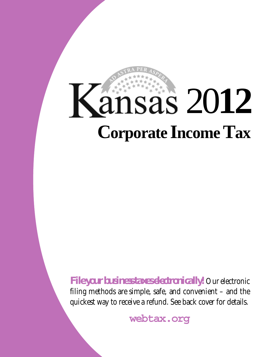# **Corporate Income Tax** 20**12**

*File your business taxes electronically!* Our electronic filing methods are simple, safe, and convenient – and the quickest way to receive a refund. See back cover for details.

**webtax.org**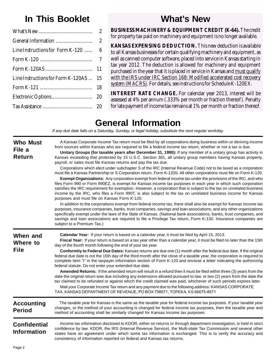# **In This Booklet**

|                                    | $\overline{2}$ |
|------------------------------------|----------------|
|                                    |                |
| Line Instructions for Form K-120   | 6              |
|                                    |                |
|                                    | 11             |
| Line Instructions for Form K-120AS | 15             |
|                                    | 18             |
|                                    | 20             |
|                                    |                |

## **What's New**

**BUSINESS MACHINERY & EQUIPMENT CREDIT (K-64).** The credit for property tax paid on machinery and equipment is no longer available.

**KANSAS EXPENSING DEDUCTION.** This new deduction is available to all Kansas businesses for certain qualifying machinery and equipment, as well as canned computer software, placed into service in Kansas starting in tax year 2012. The deduction is allowed for machinery and equipment purchased in the year that it is placed in service in Kansas and must qualify with the IRS under IRC Section 168: Modified accelerated cost recovery system (MACRS). For details, see instructions for Schedule K-120EX.

**INTEREST RATE CHANGE.** For calendar year 2013, interest will be assessed at 4% per annum (.333% per month or fraction thereof). Penalty for late payment of income tax remains at 1% per month or fraction thereof.

## **General Information**

*If any due date falls on a Saturday, Sunday, or legal holiday, substitute the next regular workday.* 

| <b>Who Must</b><br>File a<br><b>Return</b> | A Kansas Corporate Income Tax return must be filed by all corporations doing business within or deriving income<br>from sources within Kansas who are required to file a federal income tax return, whether or not a tax is due.<br>Unitary Groups (for taxable years after December 31, 1990): If any member of a unitary group has activity in<br>Kansas exceeding that protected by 15 U.S.C. Section 381, all unitary group members having Kansas property,<br>payroll, or sales must file Kansas returns and pay the tax due.<br>Corporations which elect under subchapter S of the IRC (Internal Revenue Code) not to be taxed as a corporation<br>must file a Kansas Partnership or S Corporation return, Form K-120S. All other corporations must file on Form K-120.<br>Exempt Organizations: Any corporation exempt from federal income tax under the provisions of the IRC, and who<br>files Form 990 or Form 990EZ, is exempt for Kansas income tax purposes in each year in which such corporation<br>satisfies the IRC requirement for exemption. However, a corporation that is subject to the tax on unrelated business<br>income by the IRC, who files a Form 990T, is also subject to the tax on unrelated business income for Kansas<br>purposes and must file on Kansas Form K-120.<br>In addition to the corporations exempt from federal income tax, there shall also be exempt for Kansas income tax<br>purposes, insurance companies, banks, trust companies, savings and loan associations, and any other organizations<br>specifically exempt under the laws of the State of Kansas. (National bank associations, banks, trust companies, and<br>savings and loan associations are required to file a Privilege Tax return, Form K-130. Insurance companies are<br>subject to a Premium Tax.) |
|--------------------------------------------|-------------------------------------------------------------------------------------------------------------------------------------------------------------------------------------------------------------------------------------------------------------------------------------------------------------------------------------------------------------------------------------------------------------------------------------------------------------------------------------------------------------------------------------------------------------------------------------------------------------------------------------------------------------------------------------------------------------------------------------------------------------------------------------------------------------------------------------------------------------------------------------------------------------------------------------------------------------------------------------------------------------------------------------------------------------------------------------------------------------------------------------------------------------------------------------------------------------------------------------------------------------------------------------------------------------------------------------------------------------------------------------------------------------------------------------------------------------------------------------------------------------------------------------------------------------------------------------------------------------------------------------------------------------------------------------------------------------------------------------------------------------------------------------------------------------------------|
| When and<br>Where to<br><b>File</b>        | Calendar Year: If your return is based on a calendar year, it must be filed by April 15, 2013.<br>Fiscal Year: If your return is based on a tax year other than a calendar year, it must be filed no later than the 15th<br>day of the fourth month following the end of your tax year.<br>Conformity to Federal Due Dates: Kansas returns are due one (1) month after the federal due date. If the original<br>federal due date is not the 15th day of the third month after the close of a taxable year, the corporation is required to<br>complete item "I" in the taxpayer information section of Form K-120 and enclose a letter indicating the authorizing<br>federal statute. Do not enter your extended due date.<br>Amended Returns: If the amended return will result in a refund then it must be filed within three (3) years from the<br>date the original return was due including any extensions allowed pursuant to law, or two (2) years from the date the<br>tax claimed to be refunded or against which the credit claimed was paid, whichever of such periods expires later.<br>Mail your Corporate Income Tax return and any payment due to the following address: KANSAS CORPORATE<br>TAX, KANSAS DEPARTMENT OF REVENUE, PO BOX 758571, TOPEKA, KS 66675-8571                                                                                                                                                                                                                                                                                                                                                                                                                                                                                                                                      |
| <b>Accounting</b><br><b>Period</b>         | The taxable year for Kansas is the same as the taxable year for federal income tax purposes. If your taxable year<br>changes, or the method of your accounting is changed for federal income tax purposes, then the taxable year and<br>method of accounting shall be similarly changed for Kansas income tax purposes.                                                                                                                                                                                                                                                                                                                                                                                                                                                                                                                                                                                                                                                                                                                                                                                                                                                                                                                                                                                                                                                                                                                                                                                                                                                                                                                                                                                                                                                                                                 |
| <b>Confidential</b><br><b>Information</b>  | Income tax information disclosed to KDOR, either on returns or through department investigation, is held in strict<br>confidence by law. KDOR, the IRS (Internal Revenue Service), the Multi-state Tax Commission and several other<br>states have an agreement under which some tax information is exchanged. This is to verify the accuracy and<br>consistency of information reported on federal and Kansas tax returns.                                                                                                                                                                                                                                                                                                                                                                                                                                                                                                                                                                                                                                                                                                                                                                                                                                                                                                                                                                                                                                                                                                                                                                                                                                                                                                                                                                                             |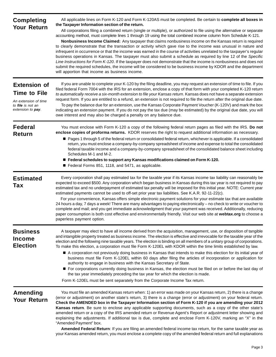| <b>Completing</b><br><b>Your Return</b>                                                                             | All applicable lines on Form K-120 and Form K-120AS must be completed. Be certain to complete all boxes in<br>the Taxpayer Information section of the return.<br>All corporations filing a combined return (single or multiple), or authorized to file using the alternative or separate<br>accounting method, must complete lines 1 through 19 using the total combined income column from Schedule K-121.<br>Nonbusiness Income Claimed: Any taxpayer that claims nonbusiness income on the Kansas return is required<br>to clearly demonstrate that the transaction or activity which gave rise to the income was unusual in nature and<br>infrequent in occurrence or that the income was earned in the course of activities unrelated to the taxpayer's regular<br>business operations in Kansas. The taxpayer must also submit a schedule as required by line 12 of the Specific<br>Line Instructions for Form K-120. If the taxpayer does not demonstrate that the income is nonbusiness and does not<br>submit the required schedules, the income will be considered to be business income by KDOR and the department<br>will apportion that income as business income. |
|---------------------------------------------------------------------------------------------------------------------|---------------------------------------------------------------------------------------------------------------------------------------------------------------------------------------------------------------------------------------------------------------------------------------------------------------------------------------------------------------------------------------------------------------------------------------------------------------------------------------------------------------------------------------------------------------------------------------------------------------------------------------------------------------------------------------------------------------------------------------------------------------------------------------------------------------------------------------------------------------------------------------------------------------------------------------------------------------------------------------------------------------------------------------------------------------------------------------------------------------------------------------------------------------------------------|
| <b>Extension of</b><br><b>Time to File</b><br>An extension of time<br>to <b>file</b> is not an<br>extension to pay. | If you are unable to complete your K-120 by the filing deadline, you may request an extension of time to file. If you<br>filed federal Form 7004 with the IRS for an extension, enclose a copy of that form with your completed K-120 return<br>to automatically receive a six-month extension to file your Kansas return. Kansas does not have a separate extension<br>request form. If you are entitled to a refund, an extension is not required to file the return after the original due date.<br>To pay the balance due for an extension, use the Kansas Corporate Payment Voucher (K-120V) and mark the box<br>indicating an extension payment. If you do not pay the tax due (may be estimated) by the original due date, you will<br>owe interest and may also be charged a penalty on any balance due.                                                                                                                                                                                                                                                                                                                                                                |
| <b>Federal</b><br><b>Return</b>                                                                                     | You must enclose with Form K-120 a copy of the following federal return pages as filed with the IRS. Do not<br>enclose copies of proforma returns. KDOR reserves the right to request additional information as necessary.<br>Pages 1 through 5 of the federal return or consolidated federal return, whichever is applicable. If a consolidated<br>return, you must enclose a company-by-company spreadsheet of income and expense to total the consolidated<br>federal taxable income and a company-by-company spreadsheet of the consolidated balance sheet including<br>Schedules M-1 and M-2.<br>■ Federal schedules to support any Kansas modifications claimed on Form K-120.<br>Federal Forms 851, 1118, and 5471, as applicable.                                                                                                                                                                                                                                                                                                                                                                                                                                       |
| <b>Estimated</b><br>Tax                                                                                             | Every corporation shall pay estimated tax for the taxable year if its Kansas income tax liability can reasonably be<br>expected to exceed \$500. Any corporation which began business in Kansas during this tax year is not required to pay<br>estimated tax and no underpayment of estimated tax penalty will be imposed for this initial year. NOTE: Current year<br>estimated payments cannot be used to off-set prior year tax liabilities. See K.A.R. 92-11-22(c).<br>For your convenience, Kansas offers simple electronic payment solutions for your estimate tax that are available<br>24 hours a day, 7 days a week! There are many advantages to paying electronically – no check to write or voucher to<br>complete and mail; and you get immediate acknowledgment that your payment was received. Additionally, reducing<br>paper consumption is both cost effective and environmentally friendly. Visit our web site at webtax.org to choose a<br>paperless payment option.                                                                                                                                                                                        |
| <b>Business</b><br><b>Income</b><br><b>Election</b>                                                                 | A taxpayer may elect to have all income derived from the acquisition, management, use, or disposition of tangible<br>and intangible property treated as business income. The election is effective and irrevocable for the taxable year of the<br>election and the following nine taxable years. The election is binding on all members of a unitary group of corporations.<br>To make this election, a corporation must file Form K-120EL with KDOR within the time limits established by law.<br>A corporation not previously doing business in Kansas that intends to make this election for its initial year of<br>business must file Form K-120EL within 60 days after filing the articles of incorporation or application for<br>authority to engage in business with the Kansas Secretary of State.<br>For corporations currently doing business in Kansas, the election must be filed on or before the last day of<br>the tax year immediately preceding the tax year for which the election is made.<br>Form K-120EL must be sent separately from the Corporate Income Tax return.                                                                                     |
| <b>Amending</b><br><b>Your Return</b>                                                                               | You must file an amended Kansas return when: 1) an error was made on your Kansas return, 2) there is a change<br>(error or adjustment) on another state's return, 3) there is a change (error or adjustment) on your federal return.<br>Check the AMENDED box in the Taxpayer Information section of Form K-120 if you are amending your 2012<br>Kansas return. Be sure to enclose any applicable supporting documents, such as a copy of the other state's<br>amended return or a copy of the IRS amended return or Revenue Agent's Report or adjustment letter showing and<br>explaining the adjustments. If additional tax is due, complete and enclose Form K-120V, marking an "X" in the<br>"Amended Payment" box.<br>Amended Federal Return: If you are filing an amended federal income tax return, for the same taxable year as<br>your Kansas amended return, you must enclose a complete copy of the amended federal return and full explanations                                                                                                                                                                                                                     |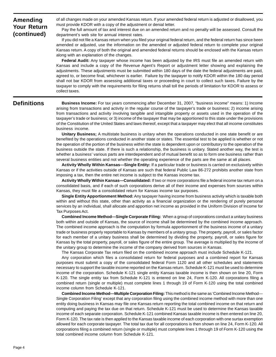**Amending Your Return (continued)** 

of all changes made on your amended Kansas return. If your amended federal return is adjusted or disallowed, you must provide KDOR with a copy of the adjustment or denial letter.

Pay the full amount of tax and interest due on an amended return and no penalty will be assessed. Consult the department's web site for annual interest rates.

If you did not file a Kansas return when you filed your original federal return, and the federal return has since been amended or adjusted, use the information on the amended or adjusted federal return to complete your original Kansas return. A copy of both the original and amended federal returns should be enclosed with the Kansas return along with an explanation of the changes.

**Federal Audit:** Any taxpayer whose income has been adjusted by the IRS must file an amended return with Kansas and include a copy of the Revenue Agent's Report or adjustment letter showing and explaining the adjustments. These adjustments must be submitted within 180 days of the date the federal adjustments are paid, agreed to, or become final, whichever is earlier. Failure by the taxpayer to notify KDOR within the 180 day period shall not bar KDOR from assessing additional taxes or proceeding in court to collect such taxes. Failure by the taxpayer to comply with the requirements for filing returns shall toll the periods of limitation for KDOR to assess or collect taxes.

#### **Definitions**

**Business Income:** For tax years commencing after December 31, 2007, "business income" means: 1) Income arising from transactions and activity in the regular course of the taxpayer's trade or business; 2) income arising from transactions and activity involving tangible and intangible property or assets used in the operation of the taxpayer's trade or business; or 3) income of the taxpayer that may be apportioned to this state under the provisions of the Constitution of the United States and laws thereof, except that a taxpayer may elect that all income constitutes business income.

**Unitary Business;** A multistate business is unitary when the operations conducted in one state benefit or are benefited by the operations conducted in another state or states. The essential test to be applied is whether or not the operation of the portion of the business within the state is dependent upon or contributory to the operation of the business outside the state. If there is such a relationship, the business is unitary. Stated another way, the test is whether a business' various parts are interdependent and of mutual benefit so as to form one business rather than several business entities and not whether the operating experience of the parts are the same at all places.

**Activity Wholly Within Kansas—Single Entity:** If a particular trade or business is carried on exclusively within Kansas or if the activities outside of Kansas are such that federal Public Law 86-272 prohibits another state from imposing a tax, then the entire net income is subject to the Kansas income tax.

**Activity Wholly Within Kansas—Consolidated:** If two or more corporations file a federal income tax return on a consolidated basis, and if each of such corporations derive all of their income and expenses from sources within Kansas, they must file a consolidated return for Kansas income tax purposes.

**Single Entity Apportionment Method:** Any taxpayer having income from business activity which is taxable both within and without this state, other than activity as a financial organization or the rendering of purely personal services by an individual, shall allocate and apportion net income as provided in the Uniform Division of Income for Tax Purposes Act.

**Combined Income Method—Single Corporate Filing:** When a group of corporations conduct a unitary business both within and outside of Kansas, the source of income shall be determined by the combined income approach. The combined income approach is the computation by formula apportionment of the business income of a unitary trade or business properly reportable to Kansas by members of a unitary group. The property, payroll, or sales factor for each member of a unitary business shall be determined by dividing the property, payroll, or sales figure for Kansas by the total property, payroll, or sales figure of the entire group. The average is multiplied by the income of the unitary group to determine the income of the company derived from sources in Kansas.

The Kansas Corporate Tax return filed on the combined income approach must include Schedule K-121.

Any corporation which files a consolidated return for federal purposes and a combined report for Kansas purposes must submit a copy of the consolidated federal Form 1120 and all other schedules and statements necessary to support the taxable income reported on the Kansas return. Schedule K-121 must be used to determine income of the corporation. Schedule K-121 single entity Kansas taxable income is then shown on line 20, Form K-120. The single entity tax from Schedule K-121 is entered on line 24, Form K-120. All corporations filing a combined return (single or multiple) must complete lines 1 through 19 of Form K-120 using the total combined income column from Schedule K-121.

**Combined Income Method—Multiple Corporation Filing:** This method is the same as 'Combined Income Method— Single Corporation Filing' except that any corporation filing using the combined income method with more than one entity doing business in Kansas may file one Kansas return reporting the total combined income on that return and computing and paying the tax due on that return. Schedule K-121 must be used to determine the Kansas taxable income of each separate corporation. Schedule K-121 combined Kansas taxable income is then entered on line 20, Form K-120. The tax rate is then applied to the Kansas taxable income of each corporation with one surtax exemption allowed for each corporate taxpayer. The total tax due for all corporations is then shown on line 24, Form K-120. All corporations filing a combined return (single or multiple) must complete lines 1 through 19 of Form K-120 using the total combined income column from Schedule K-121.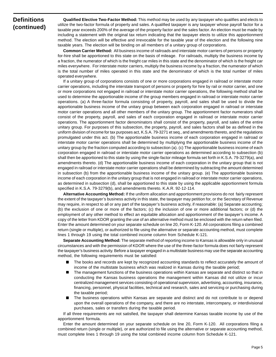#### **Definitions (continued)**

**Qualified Elective Two-Factor Method:** This method may be used by any taxpayer who qualifies and elects to utilize the two-factor formula of property and sales. A qualified taxpayer is any taxpayer whose payroll factor for a taxable year exceeds 200% of the average of the property factor and the sales factor. An election must be made by including a statement with the original tax return indicating that the taxpayer elects to utilize this apportionment method. The election will be effective and irrevocable for the taxable year of the election and the following nine taxable years. The election will be binding on all members of a unitary group of corporations.

**Common Carrier Method:** All business income of railroads and interstate motor carriers of persons or property for-hire shall be apportioned to this state on the basis of mileage. For railroads, multiply the business income by a fraction, the numerator of which is the freight car miles in this state and the denominator of which is the freight car miles everywhere. For interstate motor carriers, multiply the business income by a fraction, the numerator of which is the total number of miles operated in this state and the denominator of which is the total number of miles operated everywhere.

If a unitary group of corporations consists of one or more corporations engaged in railroad or interstate motor carrier operations, including the interstate transport of persons or property for hire by rail or motor carrier, and one or more corporations not engaged in railroad or interstate motor carrier operations, the following method shall be used to determine the apportionable income of the group members engaged in railroad or interstate motor carrier operations. (a) A three-factor formula consisting of property, payroll, and sales shall be used to divide the apportionable business income of the unitary group between each corporation engaged in railroad or interstate motor carrier operations and all other members of the unitary group. The apportionment factor numerators shall consist of the property, payroll, and sales of each corporation engaged in railroad or interstate motor carrier operations. The apportionment factor denominators shall consist of the property, payroll, and sales of the entire unitary group. For purposes of this subsection, the property, payroll, and sales factors shall be as defined in the uniform division of income for tax purposes act, K.S.A. 79-3271 et seq., and amendments thereto, and the regulations promulgated under this act. (b) The apportionable business income of each corporation engaged in railroad or interstate motor carrier operations shall be determined by multiplying the apportionable business income of the unitary group by the fraction computed according to subsection (a). (c) The apportionable business income of each corporation engaged in railroad or interstate motor carrier operations as determined according to subsection (b) shall then be apportioned to this state by using the single-factor mileage formula set forth in K.S.A. 79-3279(a), and amendments thereto. (d) The apportionable business income of each corporation in the unitary group that is not engaged in railroad or interstate motor carrier operations shall be determined by subtracting the amount determined in subsection (b) from the apportionable business income of the unitary group. (e) The apportionable business income of each corporation in the unitary group that is not engaged in railroad or interstate motor carrier operations, as determined in subsection (d), shall be apportioned to this state by using the applicable apportionment formula specified in K.S.A. 79-3279(b), and amendments thereto. K.A.R. 92-12-114.

**Alternative Accounting Method:** If the uniform allocation and apportionment provisions do not fairly represent the extent of the taxpayer's business activity in this state, the taxpayer may petition for, or the Secretary of Revenue may require, in respect to all or any part of the taxpayer's business activity, if reasonable: (a) Separate accounting; (b) the exclusion of one or more of the factors; (c) the inclusion of one or more additional factors; or (d) the employment of any other method to effect an equitable allocation and apportionment of the taxpayer's income. A copy of the letter from KDOR granting the use of an alternative method must be enclosed with the return when filed. Enter the amount determined on your separate schedule on line 20, Form K-120. All corporations filing a combined return (single or multiple), or authorized to file using the alternative or separate accounting method, must complete lines 1 through 19 using the total combined income column from Schedule K-121.

**Separate Accounting Method:** The separate method of reporting income to Kansas is allowable only in unusual circumstances and with the permission of KDOR where the use of the three-factor formula does not fairly represent the taxpayer's business activity. Before a taxpayer engaged in a multistate business may use the separate accounting method, the following requirements must be satisfied:

- The books and records are kept by recognized accounting standards to reflect accurately the amount of income of the multistate business which was realized in Kansas during the taxable period;
- The management functions of the business operations within Kansas are separate and distinct so that in conducting the Kansas business operations the management within Kansas did not utilize or incur centralized management services consisting of operational supervision, advertising, accounting, insurance, financing, personnel, physical facilities, technical and research, sales and servicing or purchasing during the taxable period;
- The business operations within Kansas are separate and distinct and do not contribute to or depend upon the overall operations of the company, and there are no interstate, intercompany, or interdivisional purchases, sales or transfers during the taxable period.

If all three requirements are not satisfied, the taxpayer shall determine Kansas taxable income by use of the apportionment formula.

Enter the amount determined on your separate schedule on line 20, Form K-120. All corporations filing a combined return (single or multiple), or are authorized to file using the alternative or separate accounting method, must complete lines 1 through 19 using the total combined income column from Schedule K-121.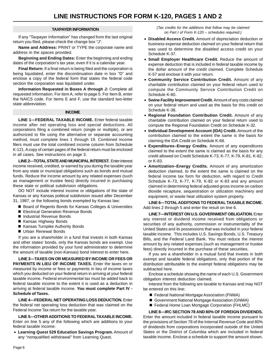#### **TAXPAYER INFORMATION**

If any "Taxpayer Information" has changed from the last original return you filed, please check the change box "J".

**Name and Address:** PRINT or TYPE the corporate name and address in the spaces provided.

**Beginning and Ending Dates:** Enter the beginning and ending dates of the corporation's tax year, even if it is a calendar year.

**Final Return:** If a final return is being filed and the corporation is being liquidated, enter the discontinuation date in box "D" and enclose a copy of the federal form that states the federal code section the corporation was liquidated under.

**Information Requested in Boxes A through J:** Complete all requested information. For item A, refer to page 5. For Item B, enter the NAICS code. For items E and F, use the standard two-letter state abbreviation.

#### **INCOME**

**LINE 1—FEDERAL TAXABLE INCOME.** Enter federal taxable income after net operating loss and special deductions. All corporations filing a combined return (single or multiple), or are authorized to file using the alternative or separate accounting method, must complete lines 1 through 19. Combined income filers must use the total combined income column from Schedule K-121. A copy of certain pages of the federal return must be enclosed in all cases. See instructions on page 3.

**LINE 2—TOTAL STATE AND MUNICIPAL INTEREST.** Enter interest income received, credited, or earned by you during the taxable year from any state or municipal obligations such as bonds and mutual funds. Reduce the income amount by any related expenses (such as management or trustee fees) directly incurred in purchasing these state or political subdivision obligations.

DO NOT include interest income or obligations of the state of Kansas or any Kansas political subdivision issued after December 31, 1987, or the following bonds exempted by Kansas law:

- Board of Regents Bonds for Kansas Colleges & Universities
- Electrical Generation Revenue Bonds
- Industrial Revenue Bonds
- Kansas Highway Bonds
- Kansas Turnpike Authority Bonds
- Urban Renewal Bonds

If you are a shareholder in a fund that invests in both Kansas and other states' bonds, only the Kansas bonds are exempt. Use the information provided by your fund administrator to determine the amount of taxable (non-Kansas) bond interest to enter here.

**LINE 3—TAXES ON OR MEASURED BY INCOME OR FEES OR**  PAYMENTS IN LIEU OF INCOME TAXES. Enter the taxes on or measured by income or fees or payments in lieu of income taxes which you deducted on your federal return in arriving at your federal taxable income. Federal environmental tax must be added back to federal taxable income to the extent it is used as a deduction in arriving at federal taxable income. **You must complete Part IV - Schedule of Taxes.** 

**LINE 4—FEDERAL NET OPERATING LOSS DEDUCTION.** Enter the federal net operating loss deduction that was claimed on the Federal Income Tax return for the taxable year.

**LINE 5—OTHER ADDITIONS TO FEDERAL TAXABLE INCOME.**  Enter on line 5 any of the following which are additions to your federal taxable income:

• **Learning Quest 529 Education Savings Program.** Amount of any "nonqualified withdrawal" from Learning Quest.

*(Tax credits for the additions that follow may be claimed on Part I of Form K-120 – schedules required.)* 

- **Disabled Access Credit.** Amount of depreciation deduction or business expense deduction claimed on your federal return that was used to determine the disabled access credit on your Schedule K-37.
- **Small Employer Healthcare Credit.** Reduce the amount of expense deduction that is included in federal taxable income by the dollar amount of the credit claimed. Complete Schedule K-57 and enclose it with your return.
- **Community Service Contribution Credit.** Amount of any charitable contribution claimed on your federal return used to compute the Community Service Contribution Credit on Schedule K-60.
- **Swine Facility Improvement Credit.** Amount of any costs claimed on your federal return and used as the basis for this credit on Schedule K-38.
- **Regional Foundation Contribution Credit.** Amount of any charitable contribution claimed on your federal return used to compute the Regional Foundation Credit on Schedule K-32.
- **Individual Development Account (IDA) Credit.** Amount of the contribution claimed to the extent the same is the basis for claiming the IDA Credit on Schedule K-68.
- **Expenditures–Energy Credits.** Amount of any expenditures claimed to the extent the same is claimed as the basis for any credit allowed on Credit Schedule K-73, K-77, K-79, K-81, K-82, or K-83.
- **Amortization–Energy Credits.** Amount of any amortization deduction claimed, to the extent the same is claimed on the federal income tax form for deduction, with regard to Credit Schedule K-73, K-77, K-79, K-82 or K-83 and any amount claimed in determining federal adjusted gross income on carbon dioxide recapture, sequestration or utilization machinery and equipment, or waste heat utilization system property.

**LINE 6—TOTAL ADDITIONS TO FEDERAL TAXABLE INCOME.**  Add lines 2 through 5 and enter the result on line 6.

**LINE 7—INTEREST ON U.S. GOVERNMENT OBLIGATION.** Enter any interest or dividend income received from obligations or securities of any authority, commission or instrumentality of the United States and its possessions that was included in your federal taxable income. This includes U.S. Savings Bonds, U.S. Treasury Bills, and the Federal Land Bank. You must reduce the interest amount by any related expenses (such as management or trustee fees) directly incurred in the purchase of these securities.

If you are a shareholder in a mutual fund that invests in both exempt and taxable federal obligations, only that portion of the distribution attributable to the exempt federal obligations may be subtracted here.

Enclose a schedule showing the name of each U.S. Government obligation interest deduction claimed.

Interest from the following are taxable to Kansas and may NOT be entered on this line:

- Federal National Mortgage Association (FNMA)
- Government National Mortgage Association (GNMA)
- Federal Home Loan Mortgage Corporation (FHLMC)

**LINE 8—IRC SECTION 78 AND 80% OF FOREIGN DIVIDENDS.**  Enter the amount included in federal taxable income pursuant to the provisions of Section 78 of the Internal Revenue Code and 80% of dividends from corporations incorporated outside of the United States or the District of Columbia which are included in federal taxable income. Enclose a schedule to support the amount shown.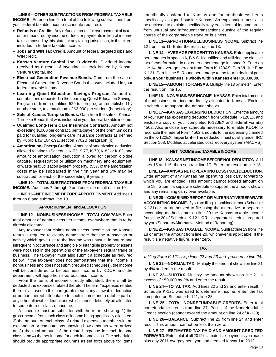**LINE 9—OTHER SUBTRACTIONS FROM FEDERAL TAXABLE** 

**INCOME.** Enter on line 9, a total of the following subtractions from your federal taxable income (schedule required):

- **Refunds or Credits.** Any refund or credit for overpayment of taxes on or measured by income or fees or payments in lieu of income taxes imposed by this state, or any taxing jurisdiction, to the extent included in federal taxable income.
- **Jobs and WIN Tax Credit.** Amount of federal targeted jobs and WIN credit.
- **Kansas Venture Capital, Inc. Dividends.** Dividend income received as a result of investing in stock issued by Kansas Venture Capital, Inc.
- **Electrical Generation Revenue Bonds.** Gain from the sale of Electrical Generation Revenue Bonds that was included in your federal taxable income.
- **Learning Quest Education Savings Program.** Amount of contributions deposited in the Learning Quest Education Savings Program or from a qualified 529 tuition program established by another state, to a maximum of \$3,000 per student (beneficiary).
- **Sale of Kansas Turnpike Bonds.** Gain from the sale of Kansas Turnpike Bonds that was included in your federal taxable income.
- **Qualified Long-Term Care Insurance Contracts.** Amount not exceeding \$1000 per contract, per taxpayer, of the premium costs paid for qualified long-term care insurance contracts as defined by Public Law 104-191, section 7702B paragraph (b).
- **Amortization–Energy Credits.** Amount of amortization deduction allowed relating to Schedule K-73, K-77, K-79, K-82 or K-83, and amount of amortization deduction allowed for carbon dioxide capture, sequestration or utilization machinery and equipment, or waste heat utilization system property. (55% of the amortization costs may be subtracted in the first year and 5% may be subtracted for each of the succeeding 9 years.)

**LINE 10—TOTAL SUBTRACTIONS FROM FEDERAL TAXABLE INCOME.** Add lines 7 through 9 and enter the result on line 10.

**LINE 11—NET INCOME BEFORE APPORTIONMENT.** Add lines 1 through 6 and subtract line 10.

#### **APPORTIONMENT and ALLOCATION**

**LINE 12—NONBUSINESS INCOME—TOTAL COMPANY.** Enter total amount of nonbusiness net income everywhere that is to be directly allocated.

Any taxpayer that claims nonbusiness income on the Kansas return is required to clearly demonstrate that the transaction or activity which gave rise to the income was unusual in nature and infrequent in occurrence and tangible or intangible property or assets were not used in the operations of the taxpayer's regular trade or business. The taxpayer must also submit a schedule as required below. If the taxpayer does not demonstrate that the income is nonbusiness and does not submit required schedule(s), the income will be considered to be business income by KDOR and the department will apportion it as business income.

From the items of income directly allocated, there shall be deducted the expenses related thereto. The term "expenses related thereto" as used in this paragraph means any allowable deduction or portion thereof attributable to such income and a ratable part of any other allowable deductions which cannot definitely be allocated to some item or class of income.

A schedule must be submitted with the return showing: 1) the gross income from each class of income being specifically allocated, 2) the amount of each class of related expenses together with an explanation or computations showing how amounts were arrived at, 3) the total amount of the related expense for each income class, and 4) the net income for each income class. The schedules should provide appropriate columns as set forth above for items

specifically assigned to Kansas and for nonbusiness items specifically assigned outside Kansas. An explanation must also be enclosed to explain specifically why each item of income arose from unusual and infrequent transactions outside of the regular course of the corporation's trade or business.

**LINE 13—APPORTIONABLE BUSINESS INCOME.** Subtract line 12 from line 11. Enter the result on line 13.

**LINE 14—AVERAGE PERCENT TO KANSAS.** Enter applicable percentages in spaces A, B & C. If qualified and utilizing the elective two-factor formula, do not enter a percentage in space B. Enter on line 14 the average percent from Form K-120AS, Part VI, line E **or**  K-121, Part II, line 5. Round percentage to the fourth decimal point only. **If your business is wholly within Kansas enter 100.0000.** 

**LINE 15—AMOUNT TO KANSAS.** Multiply line 13 by line 14. Enter the result on line 15.

**LINE 16—NONBUSINESS INCOME–KANSAS.** Enter total amount of nonbusiness net income directly allocated to Kansas. Enclose a schedule to support the amount shown.

**LINE 17—KANSAS EXPENSING DEDUCTION:** Enter the amount of your Kansas expensing deduction from Schedule K-120EX and enclose a copy of your completed K-120EX and federal Form(s) 4562. Also enclose any schedule necessary to enable KDOR to reconcile the federal Form 4562 amounts to the expensing claimed on the K-120EX. **Important**—The deduction must qualify under IRC Section 168: Modified accelerated cost recovery system (MACRS).

#### **NET INCOME and TAXABLE INCOME**

**LINE 18—KANSAS NET INCOME BEFORE NOL DEDUCTION.** Add lines 15 and 16, then subtract line 17. Enter the result on line 18.

**LINE 19—KANSAS NET OPERATING LOSS (NOL) DEDUCTION.**  Enter amount of any Kansas net operating loss carry forward to which you are entitled. This amount cannot exceed amount on line 18. Submit a separate schedule to support the amount shown and any remaining carry over available.

**LINE 20—COMBINED REPORT OR ALTERNATIVE/SEPARATE ACCOUNTING INCOME.** If you are filing a combined report (Schedule K-121) or are authorized to file using the alternative or separate accounting method, enter on line 20 the Kansas taxable income from: line 20 of Schedule K-121; **OR**, a separate schedule prepared by you (Separate/Alternative Method of Reporting).

**LINE 21—KANSAS TAXABLE INCOME.** Subtract line 19 from line 18 or enter the amount from line 20, whichever is applicable. If the result is a negative figure, enter zero.

#### **TAX**

*If filing Form K-121, skip lines 22 and 23 and proceed to line 24*.

**LINE 22—NORMAL TAX.** Multiply the amount shown on line 21 by 4% and enter the result.

**LINE 23—SURTAX.** Multiply the amount shown on line 21 in excess of \$50,000 by 3**%** and enter the result.

**LINE 24—TOTAL TAX.** Add lines 22 and 23 and enter result. If Schedule K-121 was used to determine income, enter the tax computed on Schedule K-121, line 23.

**LINE 25-TOTAL NONREFUNDABLE CREDITS.** Enter total nonrefundable credits from line 27, Part I, of the Nonrefundable Credits section (cannot exceed the amount on line 24 of K-120).

**LINE 26—BALANCE.** Subtract line 25 from line 24 and enter result. This amount cannot be less than zero.

**LINE 27—ESTIMATED TAX PAID AND AMOUNT CREDITED FORWARD.** Enter total of all 2012 estimated tax payments you made plus any 2011 overpayment you had credited forward to 2012.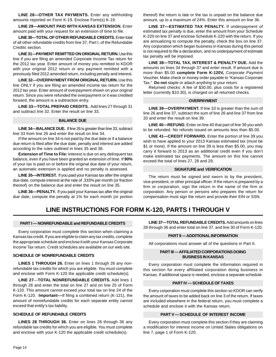**LINE 28-OTHER TAX PAYMENTS.** Enter any withholding amounts reported on Form K-19. Enclose Form(s) K-19.

**LINE 29—AMOUNT PAID WITH KANSAS EXTENSION.** Enter amount paid with your request for an extension of time to file.

**LINE 30—TOTAL OF OTHER REFUNDABLE CREDITS.** Enter total of all other refundable credits from line 37, Part I, of the Refundable Credits section.

**LINE 31—PAYMENT REMITTED ON ORIGINAL RETURN.** Use this line if you are filing an amended Corporate Income Tax return for the 2012 tax year. Enter amount of money you remitted to KDOR with your original 2012 return or any payment remitted with a previously filed 2012 amended return, including penalty and interest.

**LINE 32—OVERPAYMENT FROM ORIGINAL RETURN.** Use this line ONLY if you are filing an amended income tax return for the 2012 tax year. Enter amount of overpayment shown on your original return. Since you were refunded the overpayment or it was credited forward, the amount is a subtraction entry.

**LINE 33—TOTAL PREPAID CREDITS.** Add lines 27 through 31 and subtract line 32. Enter the result on line 33.

#### **BALANCE DUE**

**LINE 34—BALANCE DUE.** If line 26 is greater than line 33, subtract line 33 from line 26 and enter the result on line 34.

If the amount on line 34 is not paid by the due date or if a balance due return is filed after the due date, penalty and interest are added according to the rules outlined in lines 35 and 36.

**Extension of Time to File:** Interest is due on any delinquent tax balance, even if you have been granted an extension of time. If **90%**  of your tax is paid on or before the original due date of your return, an automatic extension is applied and no penalty is assessed.

**LINE 35—INTEREST.** If you paid your Kansas tax after the original due date, compute interest at the rate of .333% per month (or fraction thereof) on the balance due and enter the result on line 35.

**LINE 36—PENALTY.** If you paid your Kansas tax after the original due date, compute the penalty at 1% for each month (or portion thereof) the return is late or the tax is unpaid on the balance due amount, up to a maximum of 24%. Enter this amount on line 36.

**LINE 37—ESTIMATED TAX PENALTY.** If underpayment of estimated tax penalty is due, enter the amount from your Schedule K-220 on line 37 and enclose Schedule K-220 with the return. If you are annualizing to compute the penalty, check the box on line 37. Any corporation which began business in Kansas during this period is not required to file a declaration, and no underpayment of estimate tax penalty will be imposed.

**LINE 38—TOTAL TAX, INTEREST & PENALTY DUE.** Add the amounts on lines 34 through 37 and enter result. If amount due is more than \$5.00 **complete Form K-120V,** Corporate Payment Voucher. Make check or money order payable to "Kansas Corporate Tax." **Do not** staple or attach anything to your return.

Returned checks: A fee of \$30.00, plus costs for a registered letter (currently \$10.30), is charged on all returned checks.

#### **OVERPAYMENT**

**LINE 39—OVERPAYMENT.** If line 33 is greater than the sum of line 26 and line 37, subtract the sum of line 26 and line 37 from line 33 and enter the result on line 39.

**LINE 40—REFUND.** Enter on line 40 that part of line 39 you wish to be refunded. No refunds issued on amounts less than \$5.00.

**LINE 41—CREDIT FORWARD.** Enter the portion of line 39 you wish to have applied to your 2013 Kansas estimated tax (must be \$1 or more). If the amount on line 39 is less than \$5.00, you may carry it forward to 2013 as an additional credit even if you don't make estimated tax payments. The amount on this line cannot exceed the total of lines 27, 28 and 29.

#### **SIGNATURE and VERIFICATION**

The return must be signed and sworn to by the president, vice-president, or other principal officer. If the return is prepared by a firm or corporation, sign the return in the name of the firm or corporation. Any person or persons who prepares the return for compensation must sign the return and provide their EIN or SSN.

#### **LINE INSTRUCTIONS FOR FORM K-120, PARTS I THROUGH V**

#### **PART I — NONREFUNDABLE and REFUNDABLE CREDITS**

Every corporation must complete this section when claiming a Kansas tax credit. If you are eligible to claim any tax credits, complete the appropriate schedule and enclose it with your Kansas Corporate Income Tax return. Credit schedules are available on our web site.

#### **SCHEDULE OF NONREFUNDABLE CREDITS**

**LINES 1 THROUGH 26.** Enter on lines 1 through 26 any *nonrefundable* tax credits for which you are eligible. You must complete and enclose with Form K-120 the applicable credit schedule(s).

**LINE 27**—**TOTAL NONREFUNDABLE CREDITS.** Add lines 1 through 26 and enter the total on line 27 and on line 25 of Form K-120. This amount cannot exceed your total tax on line 24 of the Form K-120. **Important––**If filing a combined return (K-121), the amount of nonrefundable credits for each separate entity cannot exceed that entity's tax liability.

#### **SCHEDULE OF REFUNDABLE CREDITS**

**LINES 28 THROUGH 36.** Enter on lines 28 through 36 any *refundable* tax credits for which you are eligible. You must complete and enclose with your K-120 the applicable credit schedule(s).

**LINE 37—TOTAL REFUNDABLE CREDITS.** Add amounts on lines 28 through 36 and enter total on line 37, and line 30 of Form K-120.

#### **PART II — ADDITIONAL INFORMATION**

All corporations must answer all of the questions in Part II.

#### **PART III — AFFILIATED CORPORATIONS DOING BUSINESS IN KANSAS**

Every corporation must complete the information required in this section for every affiliated corporation doing business in Kansas. If additional space is needed, enclose a separate schedule.

#### **PART IV — SCHEDULE OF TAXES**

Every corporation must complete this section so KDOR can verify the amount of taxes to be added back on line 3 of the return. If taxes are included elsewhere in the federal return, you must complete a schedule and enclose it with the Kansas return.

#### **PART V — SCHEDULE OF INTEREST INCOME**

Every corporation must complete this section if they are claiming a modification for interest income on United States obligations on line 7, page 1 of Form K-120.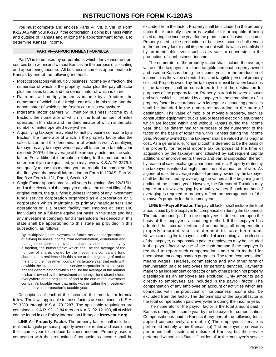You must complete and enclose Parts VI, VII, & VIII, of Form K-120AS with your K-120 if the corporation is doing business within and outside of Kansas and utilizing the apportionment formula to determine Kansas income.

#### **PART VI—APPORTIONMENT FORMULA**

Part VI is to be used by corporations which derive income from sources both within and without Kansas for the purpose of allocating and apportioning income. All business income is apportionable to Kansas by one of the following methods:

- Most corporations will multiply business income by a fraction, the numerator of which is the property factor plus the payroll factor plus the sales factor, and the denominator of which is three.
- Railroads will multiply business income by a fraction, the numerator of which is the freight car miles in this state and the denominator of which is the freight car miles everywhere.
- Interstate motor carriers will multiply business income by a fraction, the numerator of which is the total number of miles operated in this state and the denominator of which is the total number of miles operated everywhere.
- A qualifying taxpayer may elect to multiply business income by a fraction, the numerator of which is the property factor plus the sales factor, and the denominator of which is two. A qualifying taxpayer is any taxpayer whose payroll factor for a taxable year exceeds 200% of the average of the property factor and the sales factor. For additional information relating to this method and to determine if you are qualified, you may review K.S.A. 79-3279. If you qualify to use this method you are required to complete, for the first year, the payroll information on Form K-120AS, Part VI, line B *or* Form K-121, Part II, Section 2.
- Single Factor Apportionment all years beginning after 12/31/01, and at the election of the taxpayer made at the time of filing of the original return, the qualifying business income of any investment funds service corporation organized as a corporation or S corporation which maintains its primary headquarters and operations or is a branch facility that employs at least 100 individuals on a full-time equivalent basis in this state and has any investment company fund shareholders residenced in this state shall be apportioned to this state as provided in this subsection, as follows:

By multiplying the investment funds service corporation's qualifying business income from administration, distribution and management services provided to each investment company by a fraction, the numerator of which shall be the average of the number of shares owned by the investment company's fund shareholders residenced in this state at the beginning of and at the end of the investment company's taxable year that ends with or within the investment funds service corporation's taxable year, and the denominator of which shall be the average of the number of shares owned by the investment company's fund shareholders everywhere at the beginning of and at the end of the investment company's taxable year that ends with or within the investment funds service corporation's taxable year.

Descriptions of each of the factors in the three-factor formula follow. The laws applicable to these factors are contained in K.S.A. 79-3280 through K.S.A. 79-3287. The applicable regulations are contained in K.A.R. 92-12-84 through K.A.R. 92-12-103, all of which can be found in our Policy Information Library at: **ksrevenue.org**

**LINE A—Property Factor.** The property factor shall include all real and tangible personal property owned or rented and used during the income year to produce business income. Property used in connection with the production of nonbusiness income shall be

excluded from the factor. Property shall be included in the property factor if it is actually used or is available for or capable of being used during the income year for the production of business income. Property used in the production of business income shall remain in the property factor until its permanent withdrawal is established by an identifiable event such as its sale or conversion to the production of nonbusiness income.

The numerator of the property factor shall include the average value of the taxpayer's real and tangible personal property owned and used in Kansas during the income year for the production of income, plus the value of rented real and tangible personal property so used. Property owned by the taxpayer in transit between locations of the taxpayer shall be considered to be at the destination for purposes of the property factor. Property in transit between a buyer and seller which is included by a taxpayer in the denominator of its property factor in accordance with its regular accounting practices shall be included in the numerator according to the state of destination. The value of mobile or movable property, such as construction equipment, trucks and/or leased electronic equipment which are located within and without Kansas during the income year, shall be determined for purposes of the numerator of the factor on the basis of total time within Kansas during the income year. Property owned by the taxpayer shall be valued at its original cost. As a general rule, "original cost" is deemed to be the basis of the property for federal income tax purposes at the time of acquisition by the taxpayer and adjusted by subsequent capital additions or improvements thereto and partial disposition thereof, by reason of sale, exchange, abandonment, etc. Property rented by the taxpayer is valued at eight times the net annual rental rate. As a general rule, the average value of property owned by the taxpayer shall be determined by averaging the values at the beginning and ending of the income year. However, the Director of Taxation may require or allow averaging by monthly values if such method of averaging is required to properly reflect the average value of the taxpayer's property for the income year.

**LINE B—Payroll Factor.** The payroll factor shall include the total amount paid by the taxpayer for compensation during the tax period. The total amount "paid" to the employees is determined upon the basis of the taxpayer's accounting method. If the taxpayer has adopted the accrual method of accounting, all compensation properly accrued shall be deemed to have been paid. Notwithstanding the taxpayer's method of accounting, at the election of the taxpayer, compensation paid to employees may be included in the payroll factor by use of the cash method if the taxpayer is required to report such compensation under such method for unemployment compensation purposes. The term "compensation" means wages, salaries, commissions and any other form of remuneration paid to employees for personal services. Payments made to an independent contractor or any other person not properly classifiable as an employee are excluded. Only amounts paid directly to employees are included in the payroll factor. The compensation of any employee on account of activities which are connected with the production of nonbusiness income shall be excluded from the factor. The denominator of the payroll factor is the total compensation paid everywhere during the income year.

The numerator of the payroll factor is the total amount paid in Kansas during the income year by the taxpayer for compensation. Compensation is paid in Kansas if any one of the following tests, applied consecutively, are met: (a) The employee's service is performed entirely within Kansas; (b) The employee's service is performed both inside and outside of Kansas, but the service performed without this State is "incidental" to the employee's service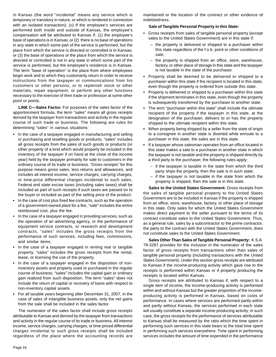in Kansas (the word "incidental" means any service which is temporary or transitory in nature, or which is rendered in connection with an isolated transaction); (c) If the employee's services are performed both inside and outside of Kansas, the employee's compensation will be attributed to Kansas if: (1) the employee's base of operations is in Kansas; or (2) there is no base of operations in any state in which some part of the service is performed, but the place from which the service is directed or controlled is in Kansas; or (3) the base of operations or the place from which the service is directed or controlled is not in any state in which some part of the service is performed, but the employee's residence is in Kansas. The term "base of operation" is the place from where employees begin work and to which they customarily return in order to receive instructions from the taxpayer or communications from his customers or other persons, or to replenish stock or other materials, repair equipment, or perform any other functions necessary to the exercise of their trade or profession at some other point or points.

**LINE C—Sales Factor.** For purposes of the sales factor of the apportionment formula, the term "sales" means all gross receipts derived by the taxpayer from transactions and activity in the regular course of such trade or business. The following are rules for determining "sales" in various situations:

- **•** In the case of a taxpayer engaged in manufacturing and selling or purchasing and reselling goods or products, "sales" includes all gross receipts from the sales of such goods or products (or other property of a kind which would properly be included in the inventory of the taxpayer if on hand at the close of the income year) held by the taxpayer primarily for sale to customers in the ordinary course of its trade or business. "Gross receipts" for this purpose means gross sales, less returns and allowances, and includes all interest income, service charges, carrying charges, or time-price differential charges incidental to such sales. Federal and state excise taxes (including sales taxes) shall be included as part of such receipts if such taxes are passed on to the buyer or included as part of the selling price of the product.
- **•** In the case of cost plus fixed fee contracts, such as the operation of a government-owned plant for a fee, "sale" includes the entire reimbursed cost, plus the fee.
- **•** In the case of a taxpayer engaged in providing services, such as the operation of an advertising agency, or the performance of equipment service contracts, or research and development contracts, "sales" includes the gross receipts from the performance of such services, including fees, commissions, and similar items.
- **•** In the case of a taxpayer engaged in renting real or tangible property, "sales" includes the gross receipts from the rental, lease, or licensing the use of the property.
- **•** In the case of a taxpayer engaged in the disposition of noninventory assets and property used or purchased in the regular course of business, "sales" includes the capital gain or ordinary gain realized from such disposition. The term "sales" does not include the return of capital or recovery of basis with respect to non-inventory capital assets.
- **•** For all taxable years beginning after December 31, 2007, in the case of sales of intangible business assets, only the net gains from the sale shall be included in the sales factor.

The numerator of the sales factor shall include gross receipts attributable to Kansas and derived by the taxpayer from transactions and activity in the regular course of its trade or business. All interest income, service charges, carrying charges, or time-priced differential charges incidental to such gross receipts shall be included regardless of the place where the accounting records are

maintained or the location of the contract or other evidence of indebtedness.

#### **Sale of Tangible Personal Property in this State:**

- **•** Gross receipts from sales of tangible personal property (except sales to the United States Government) are in this state if:
	- the property is delivered or shipped to a purchaser within this state regardless of the f.o.b. point or other conditions of sale;
	- the property is shipped from an office, store, warehouse, factory, or other place of storage in this state and the taxpayer is not taxable in the state of the purchaser.
- **•** Property shall be deemed to be delivered or shipped to a purchaser within this state if the recipient is located in this state, even though the property is ordered from outside this state.
- **•** Property is delivered or shipped to a purchaser within this state if the shipment terminates in this state, even though the property is subsequently transferred by the purchaser to another state.
- **•** The term "purchaser within this state" shall include the ultimate recipient of the property if the taxpayer in this state, at the designation of the purchaser, delivers to or has the property shipped to the ultimate recipient within this state.
- **•** When property being shipped by a seller from the state of origin to a consignee in another state is diverted while enroute to a purchaser in this state, the sales are in this state.
- **•** If a taxpayer whose salesman operates from an office located in this state makes a sale to a purchaser in another state in which the taxpayer is not taxable and the property is shipped directly by a third party to the purchaser, the following rules apply:
	- if the taxpayer is taxable in the state from which the third party ships the property, then the sale is in such state;
	- if the taxpayer is not taxable in the state from which the property is shipped, then the sale is in this state.

**Sales to the United States Government:** Gross receipts from the sales of tangible personal property to the United States Government are to be included in Kansas if the property is shipped from an office, store, warehouse, factory, or other place of storage in this state. Only sales for which the United States Government makes direct payment to the seller pursuant to the terms of its contract constitute sales to the United States Government. Thus, as a general rule, sales by a subcontractor to the prime contractor, the party to the contract with the United States Government, does not constitute sales to the United States Government.

**Sales Other Than Sales of Tangible Personal Property:** K.S.A. 79-3287 provides for the inclusion in the numerator of the sales factor of gross receipts from transactions other than sales of tangible personal property (including transactions with the United States Government). Under this section gross receipts are attributed to Kansas if the income-producing activity which gave rise to the receipts is performed within Kansas or if property producing the receipts is located within Kansas.

Gross receipts are attributed to Kansas if, with respect to a single item of income, the income-producing activity is performed within and without Kansas but the greater proportion of the incomeproducing activity is performed in Kansas, based on costs of performance. In cases where services are performed partly within and partly without Kansas, the services performed in each state will usually constitute a separate income-producing activity; in such case, the gross receipts for the performance of services attributable to Kansas shall be measured by the ratio which the time spent in performing such services in this state bears to the total time spent in performing such services everywhere. Time spent in performing services includes the amount of time expended in the performance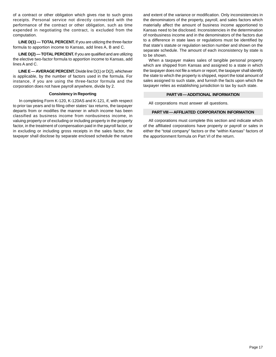of a contract or other obligation which gives rise to such gross receipts. Personal service not directly connected with the performance of the contract or other obligation, such as time expended in negotiating the contract, is excluded from the computation.

**LINE D(1) — TOTAL PERCENT.** If you are utilizing the three-factor formula to apportion income to Kansas, add lines A, B and C.

**LINE D(2) — TOTAL PERCENT.** If you are qualified and are utilizing the elective two-factor formula to apportion income to Kansas, add lines A and C.

**LINE E — AVERAGE PERCENT.** Divide line D(1) or D(2), whichever is applicable, by the number of factors used in the formula. For instance, if you are using the three-factor formula and the corporation does not have payroll anywhere, divide by 2.

#### **Consistency in Reporting**

In completing Form K-120, K-120AS and K-121, if, with respect to prior tax years and to filing other states' tax returns, the taxpayer departs from or modifies the manner in which income has been classified as business income from nonbusiness income, in valuing property or of excluding or including property in the property factor, in the treatment of compensation paid in the payroll factor, or in excluding or including gross receipts in the sales factor, the taxpayer shall disclose by separate enclosed schedule the nature

and extent of the variance or modification. Only inconsistencies in the denominators of the property, payroll, and sales factors which materially affect the amount of business income apportioned to Kansas need to be disclosed. Inconsistencies in the determination of nonbusiness income and in the denominators of the factors due to a difference in state laws or regulations must be identified by that state's statute or regulation section number and shown on the separate schedule. The amount of each inconsistency by state is to be shown.

When a taxpayer makes sales of tangible personal property which are shipped from Kansas and assigned to a state in which the taxpayer does not file a return or report, the taxpayer shall identify the state to which the property is shipped, report the total amount of sales assigned to such state, and furnish the facts upon which the taxpayer relies as establishing jurisdiction to tax by such state.

#### **PART VII — ADDITIONAL INFORMATION**

All corporations must answer all questions.

#### **PART VIII — AFFILIATED CORPORATION INFORMATION**

All corporations must complete this section and indicate which of the affiliated corporations have property or payroll or sales in either the "total company" factors or the "within Kansas" factors of the apportionment formula on Part VI of the return.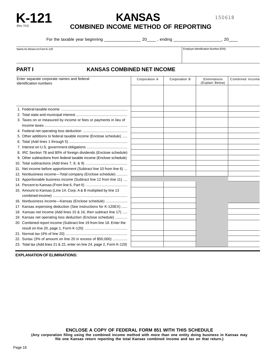

**K-121 KANSAS** 

150618

**COMBINED INCOME METHOD OF REPORTING** 

For the taxable year beginning \_\_\_\_\_\_\_\_\_\_\_\_\_\_\_\_ 20\_\_\_\_ , ending \_\_\_\_\_\_\_\_\_\_\_\_\_\_\_\_\_\_\_\_\_, 20\_\_\_\_

Name As Shown on Form K-120 **Employer Identification Number (EIN)** Employer Identification Number (EIN)

#### **PART I KANSAS COMBINED NET INCOME**

| Enter separate corporate names and federal<br>identification numbers |                                                                         | Corporation A | Corporation B | Eliminations<br>(Explain Below) | Combined Income |  |
|----------------------------------------------------------------------|-------------------------------------------------------------------------|---------------|---------------|---------------------------------|-----------------|--|
|                                                                      |                                                                         |               |               |                                 |                 |  |
|                                                                      |                                                                         |               |               |                                 |                 |  |
|                                                                      |                                                                         |               |               |                                 |                 |  |
|                                                                      |                                                                         |               |               |                                 |                 |  |
|                                                                      | 3. Taxes on or measured by income or fees or payments in lieu of        |               |               |                                 |                 |  |
|                                                                      |                                                                         |               |               |                                 |                 |  |
|                                                                      | 5. Other additions to federal taxable income (Enclose schedule)         |               |               |                                 |                 |  |
|                                                                      |                                                                         |               |               |                                 |                 |  |
|                                                                      |                                                                         |               |               |                                 |                 |  |
|                                                                      | 8. IRC Section 78 and 80% of foreign dividends (Enclose schedule)       |               |               |                                 |                 |  |
|                                                                      | 9. Other subtractions from federal taxable income (Enclose schedule)    |               |               |                                 |                 |  |
|                                                                      |                                                                         |               |               |                                 |                 |  |
|                                                                      | 11. Net income before apportionment (Subtract line 10 from line 6)      |               |               |                                 |                 |  |
|                                                                      | 12. Nonbusiness income-Total company (Enclose schedule)                 |               |               |                                 |                 |  |
|                                                                      | 13. Apportionable business income (Subtract line 12 from line 11)       |               |               |                                 |                 |  |
|                                                                      |                                                                         |               |               |                                 |                 |  |
|                                                                      | 15. Amount to Kansas (Line 14, Corp. A & B multiplied by line 13        |               |               |                                 |                 |  |
|                                                                      |                                                                         |               |               |                                 |                 |  |
|                                                                      | 16. Nonbusiness income-Kansas (Enclose schedule)                        |               |               |                                 |                 |  |
|                                                                      | 17. Kansas expensing deduction (See instructions for K-120EX)           |               |               |                                 |                 |  |
|                                                                      | 18. Kansas net income (Add lines 15 & 16, then subtract line 17)        |               |               |                                 |                 |  |
|                                                                      | 19. Kansas net operating loss deduction (Enclose schedule)              |               |               |                                 |                 |  |
|                                                                      | 20. Combined report income (Subtract line 19 from line 18. Enter the    |               |               |                                 |                 |  |
|                                                                      |                                                                         |               |               |                                 |                 |  |
|                                                                      |                                                                         |               |               |                                 |                 |  |
|                                                                      | 22. Surtax (3% of amount on line 20 in excess of \$50,000)              |               |               |                                 |                 |  |
|                                                                      | 23. Total tax (Add lines 21 & 22, enter on line 24, page 2, Form K-120) |               |               |                                 |                 |  |

**EXPLANATION OF ELIMINATIONS:** 

**ENCLOSE A COPY OF FEDERAL FORM 851 WITH THIS SCHEDULE**

**(Any corporation filing using the combined income method with more than one entity doing business in Kansas may file one Kansas return reporting the total Kansas combined income and tax on that return.)**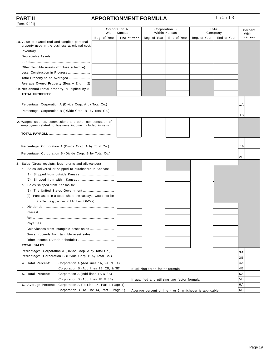(Form K-121)

#### **PART II APPORTIONMENT FORMULA**

150718

| ונים היווייטיון                                                                                                       |               |             |                                                         |               |              |             |                |
|-----------------------------------------------------------------------------------------------------------------------|---------------|-------------|---------------------------------------------------------|---------------|--------------|-------------|----------------|
|                                                                                                                       | Corporation A |             | Corporation B                                           |               | Total        |             | Percent        |
|                                                                                                                       | Within Kansas |             |                                                         | Within Kansas |              | Company     | Within         |
| 1a. Value of owned real and tangible personal                                                                         | Beg. of Year  | End of Year | Beg. of Year                                            | End of Year   | Beg. of Year | End of Year | Kansas         |
| property used in the business at original cost.                                                                       |               |             |                                                         |               |              |             |                |
|                                                                                                                       |               |             |                                                         |               |              |             |                |
|                                                                                                                       |               |             |                                                         |               |              |             |                |
|                                                                                                                       |               |             |                                                         |               |              |             |                |
| Other Tangible Assets (Enclose schedule)                                                                              |               |             |                                                         |               |              |             |                |
|                                                                                                                       |               |             |                                                         |               |              |             |                |
|                                                                                                                       |               |             |                                                         |               |              |             |                |
| Average Owned Property (Beg. + End $\div$ 2)                                                                          |               |             |                                                         |               |              |             |                |
| 1b. Net annual rental property. Multiplied by 8                                                                       |               |             |                                                         |               |              |             |                |
|                                                                                                                       |               |             |                                                         |               |              |             |                |
|                                                                                                                       |               |             |                                                         |               |              |             |                |
| Percentage: Corporation A (Divide Corp. A by Total Co.)                                                               |               |             |                                                         |               |              |             | 1 A            |
| Percentage: Corporation B (Divide Crop. B by Total Co.)                                                               |               |             |                                                         |               |              |             |                |
|                                                                                                                       |               |             |                                                         |               |              |             | 1B             |
| 2. Wages, salaries, commissions and other compensation of<br>employees related to business income included in return. |               |             |                                                         |               |              |             |                |
|                                                                                                                       |               |             |                                                         |               |              |             |                |
|                                                                                                                       |               |             |                                                         |               |              |             |                |
|                                                                                                                       |               |             |                                                         |               |              |             |                |
| Percentage: Corporation A (Divide Corp. A by Total Co.)                                                               |               |             |                                                         |               |              |             | 2A             |
| Percentage: Corporation B (Divide Corp. B by Total Co.)                                                               |               |             |                                                         |               |              |             |                |
|                                                                                                                       |               |             |                                                         |               |              |             | 2B             |
| 3. Sales (Gross receipts, less returns and allowances)                                                                |               |             |                                                         |               |              |             |                |
| a. Sales delivered or shipped to purchasers in Kansas:                                                                |               |             |                                                         |               |              |             |                |
|                                                                                                                       |               |             |                                                         |               |              |             |                |
|                                                                                                                       |               |             |                                                         |               |              |             |                |
| b. Sales shipped from Kansas to:                                                                                      |               |             |                                                         |               |              |             |                |
|                                                                                                                       |               |             |                                                         |               |              |             |                |
| Purchasers in a state where the taxpayer would not be<br>(2)                                                          |               |             |                                                         |               |              |             |                |
| taxable (e.g., under Public Law 86-272)                                                                               |               |             |                                                         |               |              |             |                |
|                                                                                                                       |               |             |                                                         |               |              |             |                |
|                                                                                                                       |               |             |                                                         |               |              |             |                |
|                                                                                                                       |               |             |                                                         |               |              |             |                |
|                                                                                                                       |               |             |                                                         |               |              |             |                |
|                                                                                                                       |               |             |                                                         |               |              |             |                |
|                                                                                                                       |               |             |                                                         |               |              |             |                |
|                                                                                                                       |               |             |                                                         |               |              |             |                |
|                                                                                                                       |               |             |                                                         |               |              |             |                |
| Percentage: Corporation A (Divide Corp. A by Total Co.)                                                               |               |             |                                                         |               |              |             | 3 A            |
| Percentage: Corporation B (Divide Corp. B by Total Co.)                                                               |               |             |                                                         |               |              |             | 3B             |
| 4. Total Percent:<br>Corporation A (Add lines 1A, 2A, & 3A)                                                           |               |             |                                                         |               |              |             | 4A             |
| Corporation B (Add lines 1B, 2B, & 3B)                                                                                |               |             | If utilizing three factor formula                       |               |              |             | 4 <sub>B</sub> |
| 5. Total Percent:<br>Corporation A (Add lines 1A & 3A)                                                                |               |             |                                                         |               |              |             | 5A             |
| Corporation B (Add lines 1B & 3B)<br>If qualified and utilizing two factor formula                                    |               |             |                                                         |               |              | 5B          |                |
| 6. Average Percent:<br>Corporation A (To Line 14, Part I, Page 1)                                                     |               |             |                                                         |               |              |             | 6 A            |
| Corporation B (To Line 14, Part I, Page 1)                                                                            |               |             | Average percent of line 4 or 5, whichever is applicable |               |              |             | 6B             |